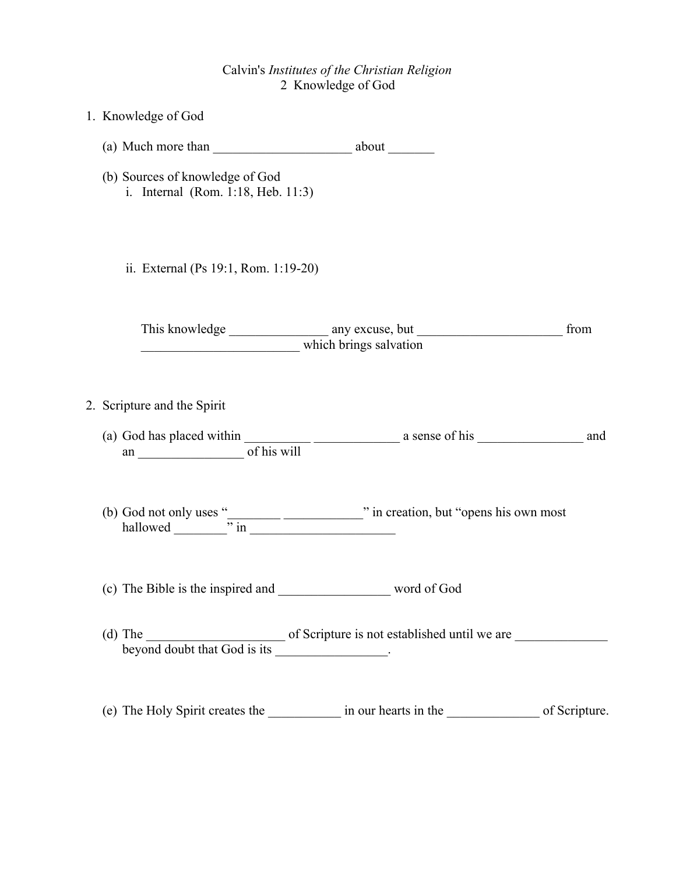## Calvin's *Institutes of the Christian Religion* 2 Knowledge of God

| 1. Knowledge of God                                                                                                                                      |
|----------------------------------------------------------------------------------------------------------------------------------------------------------|
| (a) Much more than $\frac{1}{\sqrt{1-\frac{1}{2}}}\arctan\left(\frac{1}{2}\right)$ about $\frac{1}{\sqrt{1-\frac{1}{2}}}\arctan\left(\frac{1}{2}\right)$ |
| (b) Sources of knowledge of God<br>i. Internal (Rom. 1:18, Heb. 11:3)                                                                                    |
| ii. External (Ps 19:1, Rom. 1:19-20)                                                                                                                     |
| from                                                                                                                                                     |
| 2. Scripture and the Spirit                                                                                                                              |
|                                                                                                                                                          |
| (b) God not only uses " $\frac{1}{\cdot}$ in $\frac{1}{\cdot}$ " in creation, but "opens his own most hallowed $\frac{1}{\cdot}$ " in $\frac{1}{\cdot}$  |
|                                                                                                                                                          |
| (d) The of Scripture is not established until we are <u>beyond doubt that God is its</u>                                                                 |
| (e) The Holy Spirit creates the _____________ in our hearts in the ___________________ of Scripture.                                                     |